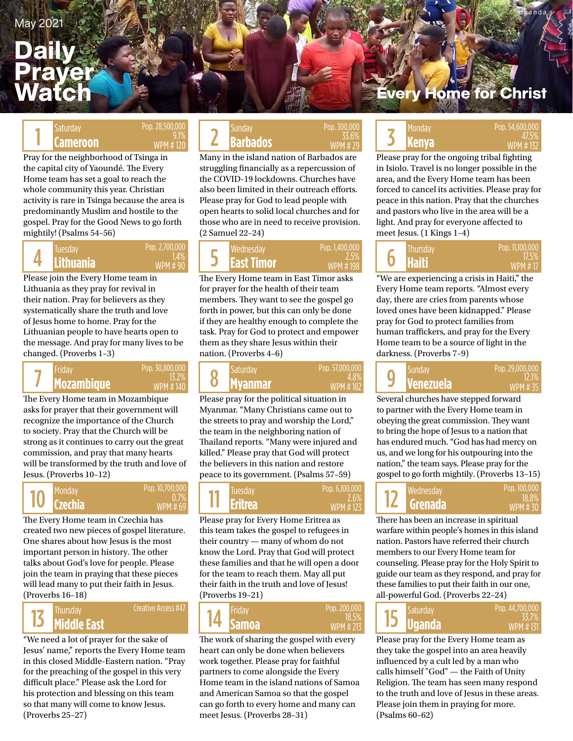## **Daily** Prayer Watch

Pop. 28,500,000 9.1% WPM # 120

Pray for the neighborhood of Tsinga in the capital city of Yaoundé. The Every Home team has set a goal to reach the whole community this year. Christian activity is rare in Tsinga because the area is predominantly Muslim and hostile to the gospel. Pray for the Good News to go forth mightily! (Psalms 54–56)

### 4 Pop. 2,700,00 1.4% WPM # 90

Please join the Every Home team in Lithuania as they pray for revival in their nation. Pray for believers as they systematically share the truth and love of Jesus home to home. Pray for the Lithuanian people to have hearts open to the message. And pray for many lives to be changed. (Proverbs 1–3)

### Pop. 30,800,000 13.2% WPM # 140 7

The Every Home team in Mozambique asks for prayer that their government will recognize the importance of the Church to society. Pray that the Church will be strong as it continues to carry out the great commission, and pray that many hearts will be transformed by the truth and love of Jesus. (Proverbs 10–12)

### 10 Pop. 10,700,000 WPM # 69

0.7%

The Every Home team in Czechia has created two new pieces of gospel literature. One shares about how Jesus is the most important person in history. The other talks about God's love for people. Please join the team in praying that these pieces will lead many to put their faith in Jesus. (Proverbs 16–18)

### **Middle East** 13

"We need a lot of prayer for the sake of Jesus' name," reports the Every Home team in this closed Middle-Eastern nation. "Pray for the preaching of the gospel in this very difficult place." Please ask the Lord for his protection and blessing on this team so that many will come to know Jesus. (Proverbs 25–27)

### Saturday **Cameroon** Pop. 26,300,000<br>**Cameroon** WPM # 120 **2 Barbados** WPM # 29 **3**3.6% **33.6% Barbados**  $\begin{array}{|c|c|c|c|c|c|}\n\hline\n\text{Solution}\n\end{array}$  Pop. 28,500,000  $\begin{array}{|c|c|c|c|c|}\n\hline\n\text{Sunday}\n\end{array}$  Pop. 300,000  $\begin{array}{|c|c|c|c|}\n\hline\n\text{Y} & \text{Monday}\n\end{array}$

Many in the island nation of Barbados are struggling financially as a repercussion of the COVID-19 lockdowns. Churches have also been limited in their outreach efforts. Please pray for God to lead people with open hearts to solid local churches and for those who are in need to receive provision. (2 Samuel 22–24)

Pop. 300,000 33.6% WPM # 29

#### **Lithuania East Timor East Timor East Timor East Timor East Timor East Timor East Timor East Timor East Timor East Timor East Timor East Timor East Timor East Timor East Timor East Timor E** Tuesday Wednesday Thursday 5 Pop. 1,400.00 2.5% WPM # 198

The Every Home team in East Timor asks for prayer for the health of their team members. They want to see the gospel go forth in power, but this can only be done if they are healthy enough to complete the task. Pray for God to protect and empower them as they share Jesus within their nation. (Proverbs 4–6)

#### **Mozambique Myanmar Venezuela** Friday Rep. 30,800,000 Saturday Pop. 57,000,000 Sunday 8 Pop. 57,000,000 4.8% WPM # 182

Please pray for the political situation in Myanmar. "Many Christians came out to the streets to pray and worship the Lord," the team in the neighboring nation of Thailand reports. "Many were injured and killed." Please pray that God will protect the believers in this nation and restore peace to its government. (Psalms 57–59)

#### **Czechia Eritrea Grenada** Monday Tuesday Wednesday 2.6% WPM # 123 11 Pop. 6,100,000

Please pray for Every Home Eritrea as this team takes the gospel to refugees in their country — many of whom do not know the Lord. Pray that God will protect these families and that he will open a door for the team to reach them. May all put their faith in the truth and love of Jesus! (Proverbs 19–21)

| Thursday    | <b>Creative Access #47 14 Samoa</b> |  | Pop. 200,000    | $\blacksquare$ Saturday |
|-------------|-------------------------------------|--|-----------------|-------------------------|
| Middle East |                                     |  | <b>WPM #213</b> | <b>Uganda</b>           |

The work of sharing the gospel with every heart can only be done when believers work together. Please pray for faithful partners to come alongside the Every Home team in the island nations of Samoa and American Samoa so that the gospel can go forth to every home and many can meet Jesus. (Proverbs 28–31)

## ery Home for Christ

Uganda

### Saturday Pop. 28,500,000 Pop. 28,500,000 Sunday Punday Pop. 300,000 Pop. 500,000 Pop. 54,600,000 Pop. 54,600,000<br>WPM # 120 **2 Barbados** WPM # 29 **33.**6% **2 Kenya** WPM # 132  $\overline{5}$   $\overline{1,15\%}$ WPM # 132 **Kenya**

Please pray for the ongoing tribal fighting in Isiolo. Travel is no longer possible in the area, and the Every Home team has been forced to cancel its activities. Please pray for peace in this nation. Pray that the churches and pastors who live in the area will be a light. And pray for everyone affected to meet Jesus. (1 Kings 1–4)



"We are experiencing a crisis in Haiti," the Every Home team reports. "Almost every day, there are cries from parents whose loved ones have been kidnapped." Please pray for God to protect families from human traffickers, and pray for the Every Home team to be a source of light in the darkness. (Proverbs 7–9)

### 9 Pop. 29,000,000 WPM # 35 12.1%

Several churches have stepped forward to partner with the Every Home team in obeying the great commission. They want to bring the hope of Jesus to a nation that has endured much. "God has had mercy on us, and we long for his outpouring into the nation," the team says. Please pray for the gospel to go forth mightily. (Proverbs 13–15)

|  | l Wednesdav<br><b>IZA Grenada</b> | Pop. 100.000<br>$18.8\%$ .<br>$WPM \# 30$ |
|--|-----------------------------------|-------------------------------------------|
|--|-----------------------------------|-------------------------------------------|

There has been an increase in spiritual warfare within people's homes in this island nation. Pastors have referred their church members to our Every Home team for counseling. Please pray for the Holy Spirit to guide our team as they respond, and pray for these families to put their faith in our one, all-powerful God. (Proverbs 22–24)

| 'Saturday<br><b>D</b> Uganda | Pop. 44,700,000<br>35.1%<br>WPM #131 |
|------------------------------|--------------------------------------|
|------------------------------|--------------------------------------|

Please pray for the Every Home team as they take the gospel into an area heavily influenced by a cult led by a man who calls himself "God" — the Faith of Unity Religion. The team has seen many respond to the truth and love of Jesus in these areas. Please join them in praying for more. (Psalms 60–62)